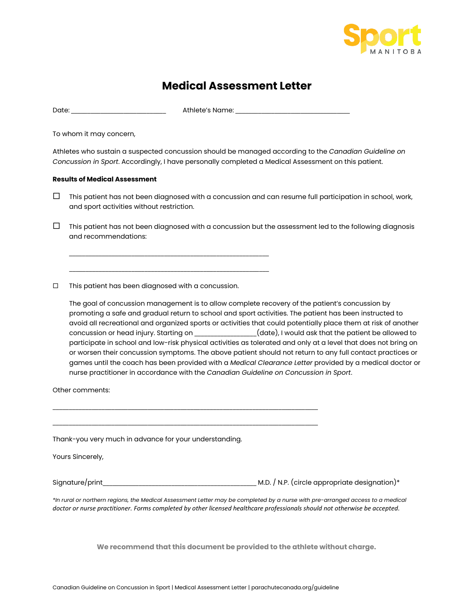

## **Medical Assessment Letter**

Date: \_\_\_\_\_\_\_\_\_\_\_\_\_\_\_\_\_\_\_\_\_\_\_\_\_\_\_\_\_ Athlete's Name: \_\_\_\_\_\_\_\_\_\_\_\_\_\_\_\_\_\_\_\_\_\_\_\_\_\_\_\_\_\_\_\_\_\_\_

To whom it may concern,

Athletes who sustain a suspected concussion should be managed according to the *Canadian Guideline on Concussion in Sport*. Accordingly, I have personally completed a Medical Assessment on this patient.

## **Results of Medical Assessment**

 $\Box$  This patient has not been diagnosed with a concussion and can resume full participation in school, work, and sport activities without restriction.

 $\Box$  This patient has not been diagnosed with a concussion but the assessment led to the following diagnosis and recommendations:

 $\Box$  This patient has been diagnosed with a concussion.

\_\_\_\_\_\_\_\_\_\_\_\_\_\_\_\_\_\_\_\_\_\_\_\_\_\_\_\_\_\_\_\_\_\_\_\_\_\_\_\_\_\_\_\_\_\_\_\_\_\_\_\_\_\_\_\_\_\_\_\_\_

\_\_\_\_\_\_\_\_\_\_\_\_\_\_\_\_\_\_\_\_\_\_\_\_\_\_\_\_\_\_\_\_\_\_\_\_\_\_\_\_\_\_\_\_\_\_\_\_\_\_\_\_\_\_\_\_\_\_\_\_\_

The goal of concussion management is to allow complete recovery of the patient's concussion by promoting a safe and gradual return to school and sport activities. The patient has been instructed to avoid all recreational and organized sports or activities that could potentially place them at risk of another concussion or head injury. Starting on \_\_\_\_\_\_\_\_\_\_\_\_\_\_\_\_\_\_\_(date), I would ask that the patient be allowed to participate in school and low-risk physical activities as tolerated and only at a level that does not bring on or worsen their concussion symptoms. The above patient should not return to any full contact practices or games until the coach has been provided with a *Medical Clearance Letter* provided by a medical doctor or nurse practitioner in accordance with the *Canadian Guideline on Concussion in Sport*.

Other comments:

Thank-you very much in advance for your understanding.

\_\_\_\_\_\_\_\_\_\_\_\_\_\_\_\_\_\_\_\_\_\_\_\_\_\_\_\_\_\_\_\_\_\_\_\_\_\_\_\_\_\_\_\_\_\_\_\_\_\_\_\_\_\_\_\_\_\_\_\_\_\_\_\_\_\_\_\_\_\_\_\_\_\_\_\_\_\_\_\_\_

\_\_\_\_\_\_\_\_\_\_\_\_\_\_\_\_\_\_\_\_\_\_\_\_\_\_\_\_\_\_\_\_\_\_\_\_\_\_\_\_\_\_\_\_\_\_\_\_\_\_\_\_\_\_\_\_\_\_\_\_\_\_\_\_\_\_\_\_\_\_\_\_\_\_\_\_\_\_\_\_\_

Yours Sincerely,

Signature/print example and the set of the M.D. / N.P. (circle appropriate designation)\*

*\*In rural or northern regions, the Medical Assessment Letter may be completed by a nurse with pre-arranged access to a medical doctor or nurse practitioner. Forms completed by other licensed healthcare professionals should not otherwise be accepted.*

**We recommend that this document be provided to the athlete without charge.**